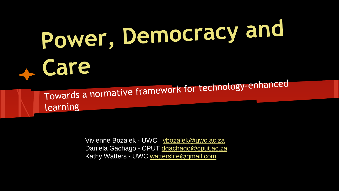## Power, Democracy and Le Care

Towards a normative framework for technology-enhanced learning

> Vivienne Bozalek - UWC [vbozalek@uwc.ac.za](mailto:vbozalek@uwc.ac.za) Daniela Gachago - CPUT [dgachago@cput.ac.za](mailto:dgachago@cput.ac.za) Kathy Watters - UWC [watterslife@gmail.com](mailto:watterslife@gmail.com)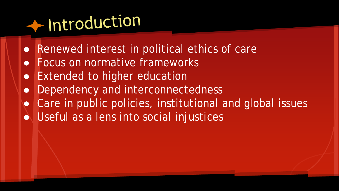### + Introduction

- Renewed interest in political ethics of care
- Focus on normative frameworks
- Extended to higher education
- Dependency and interconnectedness
- Care in public policies, institutional and global issues
- Useful as a lens into social injustices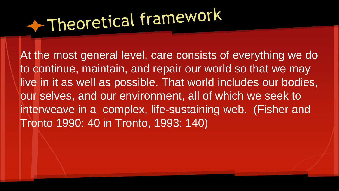### Theoretical framework

At the most general level, care consists of everything we do to continue, maintain, and repair our world so that we may live in it as well as possible. That world includes our bodies, our selves, and our environment, all of which we seek to interweave in a complex, life-sustaining web. (Fisher and Tronto 1990: 40 in Tronto, 1993: 140)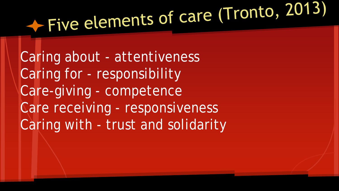# Five elements of care (Tronto, 2013)

Caring about - attentiveness Caring for - responsibility Care-giving - competence Care receiving - responsiveness Caring with - trust and solidarity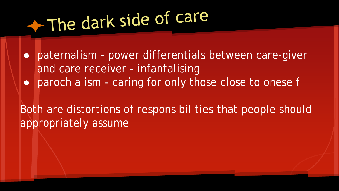### The dark side of care

● paternalism - power differentials between care-giver and care receiver - infantalising • parochialism - caring for only those close to oneself

Both are distortions of responsibilities that people should appropriately assume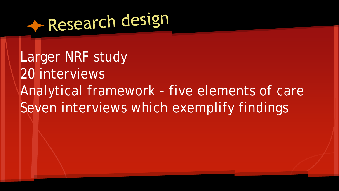

Larger NRF study 20 interviews Analytical framework - five elements of care Seven interviews which exemplify findings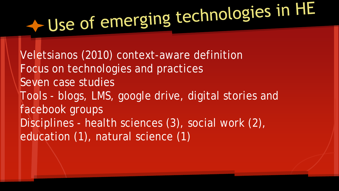# $\leftarrow$  Use of emerging technologies in HE

Veletsianos (2010) context-aware definition Focus on technologies and practices Seven case studies Tools - blogs, LMS, google drive, digital stories and facebook groups Disciplines - health sciences (3), social work (2), education (1), natural science (1)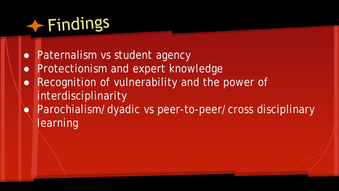#### $\leftarrow$  Findings

- Paternalism vs student agency
- Protectionism and expert knowledge
- Recognition of vulnerability and the power of interdisciplinarity
- Parochialism/dyadic vs peer-to-peer/cross disciplinary learning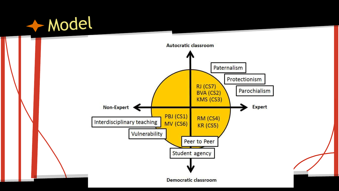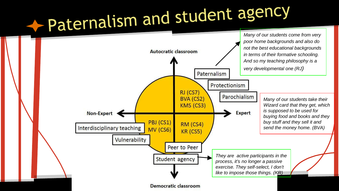## Paternalism and student agency

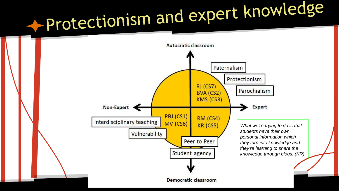## -Protectionism and expert knowledge

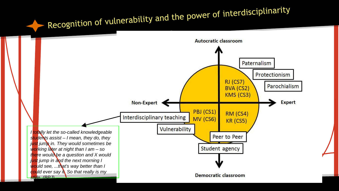### Recognition of vulnerability and the power of interdisciplinarity

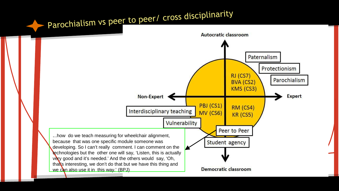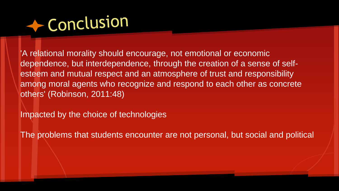

'A relational morality should encourage, not emotional or economic dependence, but interdependence, through the creation of a sense of selfesteem and mutual respect and an atmosphere of trust and responsibility among moral agents who recognize and respond to each other as concrete others' (Robinson, 2011:48)

Impacted by the choice of technologies

The problems that students encounter are not personal, but social and political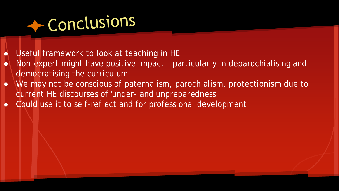#### Conclusions

- Useful framework to look at teaching in HE
- Non-expert might have positive impact particularly in deparochialising and democratising the curriculum
- We may not be conscious of paternalism, parochialism, protectionism due to current HE discourses of 'under- and unpreparedness'
- Could use it to self-reflect and for professional development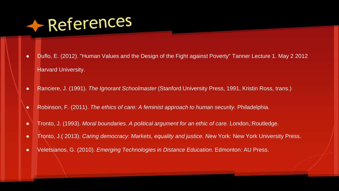#### References

- Duflo, E. (2012). "Human Values and the Design of the Fight against Poverty" Tanner Lecture 1. May 2 2012 Harvard University.
- Ranciere, J. (1991). *The Ignorant Schoolmaster* (Stanford University Press, 1991, Kristin Ross, trans.)
- Robinson, F. (2011). *The ethics of care: A feminist approach to human security.* Philadelphia.
- Tronto, J. (1993). *Moral boundaries. A political argument for an ethic of care.* London,:Routledge.
- Tronto, J.( 2013). *Caring democracy: Markets, equality and justice*. *N*ew York: New York University Press.
- Veletsianos, G. (2010). *Emerging Technologies in Distance Education*. Edmonton: AU Press.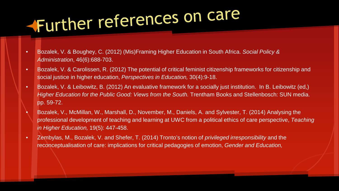## Further references on care

- Bozalek, V. & Boughey, C. (2012) (Mis)Framing Higher Education in South Africa. *Social Policy & Administration*, 46(6):688-703.
- Bozalek, V. & Carolissen, R. (2012) The potential of critical feminist citizenship frameworks for citizenship and social justice in higher education, *Perspectives in Education,* 30(4):9-18.
- Bozalek, V. & Leibowitz, B. (2012) An evaluative framework for a socially just institution. In B. Leibowitz (ed,) *Higher Education for the Public Good: Views from the South. Trentham Books and Stellenbosch: SUN media.* pp. 59-72.
- Bozalek, V., McMillan, W., Marshall, D., November, M., Daniels, A. and Sylvester, T. (2014) Analysing the professional development of teaching and learning at UWC from a political ethics of care perspective, *Teaching in Higher Education,* 19(5): 447-458.
- Zembylas, M., Bozalek, V. and Shefer, T. (2014) Tronto's notion of *privileged irresponsibility* and the reconceptualisation of care: implications for critical pedagogies of emotion, *Gender and Education,*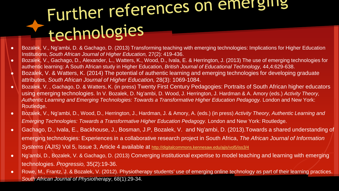### Further references on emerging technologies

- Bozalek, V., Ng'ambi, D. & Gachago, D. (2013) Transforming teaching with emerging technologies: Implications for Higher Education Institutions, *South African Journal of Higher Education,* 27(2): 419-436.
- Bozalek, V., Gachago, D., Alexander, L., Watters, K., Wood, D., Ivala, E. & Herrington, J. (2013) The use of emerging technologies for authentic learning: A South African study in Higher Education, *British Journal of Educational Technology,* 44,4:629-638.
- Bozalek, V. & Watters, K. (2014) The potential of authentic learning and emerging technologies for developing graduate attributes, *South African Journal of Higher Education,* 28(3): 1069-1084.
- Bozalek, V. , Gachago, D. & Watters, K. (in press) Twenty First Century Pedagogies: Portraits of South African higher educators using emerging technologies. In V. Bozalek, D. Ng'ambi, D. Wood, J. Herrington, J. Hardman & A. Amory (eds.) *Activity Theory,*  Authentic Learning and Emerging Technologies: Towards a Transformative Higher Education Pedagogy. London and New York: Routledge.
- Bozalek, V., Ng'ambi, D., Wood, D., Herrington, J., Hardman, J. & Amory, A. (eds.) (in press) *Activity Theory, Authentic Learning and Emerging Technologies: Towards a Transformative Higher Education Pedagogy.* London and New York: Routledge.
- Gachago, D., Ivala, E., Backhouse, J., Bosman, J.P, Bozalek, V. and Ng'ambi, D. (2013).Towards a shared understanding of emerging technologies: Experiences in a collaborative research project in South Africa, *The African Journal of Information Systems (AJIS)* Vol 5, Issue 3, Article 4 available at<http://digitalcommons.kennesaw.edu/ajis/vol5/iss3/4>
- Ng'ambi, D., Bozalek, V. & Gachago, D. (2013) Converging institutional expertise to model teaching and learning with emerging technologies. *Progressio,* 35(2):19-36.
- Rowe, M., Frantz, J. & Bozalek, V. (2012). Physiotherapy students' use of emerging online technology as part of their learning practices. *South African Journal of Physiotherapy*, 68(1):29-34.